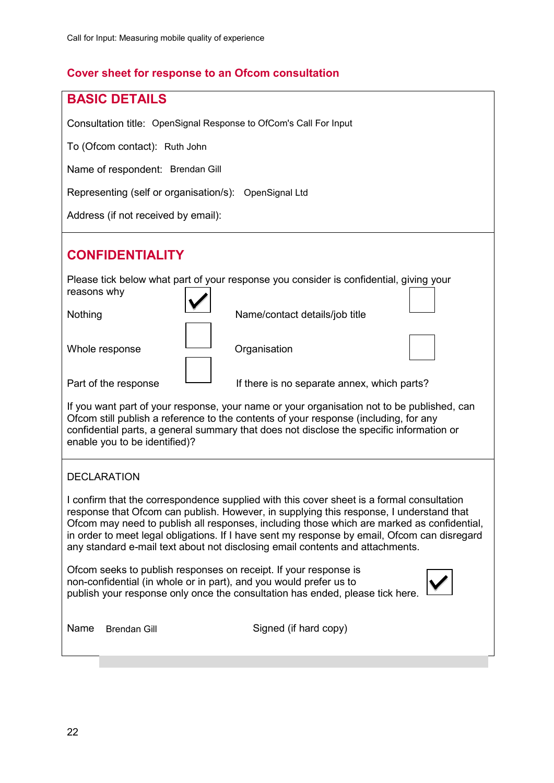# **Cover sheet for response to an Ofcom consultation**

| <b>BASIC DETAILS</b>                                                                                                                                                                                                                                                                                                                                                                                                                                                |
|---------------------------------------------------------------------------------------------------------------------------------------------------------------------------------------------------------------------------------------------------------------------------------------------------------------------------------------------------------------------------------------------------------------------------------------------------------------------|
| Consultation title: OpenSignal Response to OfCom's Call For Input                                                                                                                                                                                                                                                                                                                                                                                                   |
| To (Ofcom contact): Ruth John                                                                                                                                                                                                                                                                                                                                                                                                                                       |
| Name of respondent: Brendan Gill                                                                                                                                                                                                                                                                                                                                                                                                                                    |
| Representing (self or organisation/s): OpenSignal Ltd                                                                                                                                                                                                                                                                                                                                                                                                               |
| Address (if not received by email):                                                                                                                                                                                                                                                                                                                                                                                                                                 |
| <b>CONFIDENTIALITY</b>                                                                                                                                                                                                                                                                                                                                                                                                                                              |
| Please tick below what part of your response you consider is confidential, giving your<br>reasons why                                                                                                                                                                                                                                                                                                                                                               |
| Nothing<br>Name/contact details/job title                                                                                                                                                                                                                                                                                                                                                                                                                           |
| Whole response<br>Organisation                                                                                                                                                                                                                                                                                                                                                                                                                                      |
| Part of the response<br>If there is no separate annex, which parts?                                                                                                                                                                                                                                                                                                                                                                                                 |
| If you want part of your response, your name or your organisation not to be published, can<br>Ofcom still publish a reference to the contents of your response (including, for any<br>confidential parts, a general summary that does not disclose the specific information or<br>enable you to be identified)?                                                                                                                                                     |
| <b>DECLARATION</b>                                                                                                                                                                                                                                                                                                                                                                                                                                                  |
| I confirm that the correspondence supplied with this cover sheet is a formal consultation<br>response that Ofcom can publish. However, in supplying this response, I understand that<br>Ofcom may need to publish all responses, including those which are marked as confidential,<br>in order to meet legal obligations. If I have sent my response by email, Ofcom can disregard<br>any standard e-mail text about not disclosing email contents and attachments. |
| Ofcom seeks to publish responses on receipt. If your response is<br>non-confidential (in whole or in part), and you would prefer us to<br>publish your response only once the consultation has ended, please tick here.                                                                                                                                                                                                                                             |
| Signed (if hard copy)<br>Name<br><b>Brendan Gill</b>                                                                                                                                                                                                                                                                                                                                                                                                                |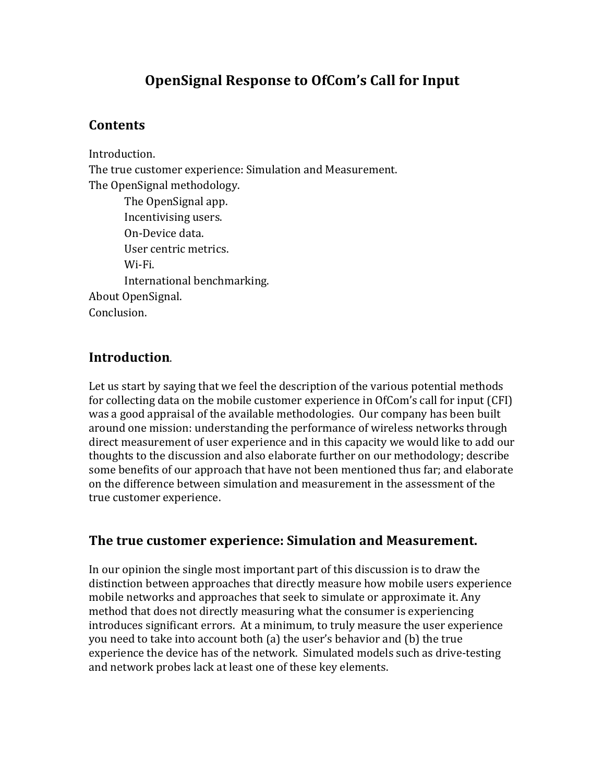# **OpenSignal Response to OfCom's Call for Input**

## **Contents**

Introduction. The true customer experience: Simulation and Measurement. The OpenSignal methodology. The OpenSignal app.

Incentivising users. On-Device data. User centric metrics. Wi-Fi. International benchmarking. About OpenSignal. Conclusion.

## **Introduction**.

Let us start by saying that we feel the description of the various potential methods for collecting data on the mobile customer experience in OfCom's call for input (CFI) was a good appraisal of the available methodologies. Our company has been built around one mission: understanding the performance of wireless networks through direct measurement of user experience and in this capacity we would like to add our thoughts to the discussion and also elaborate further on our methodology; describe some benefits of our approach that have not been mentioned thus far; and elaborate on the difference between simulation and measurement in the assessment of the true customer experience.

## The true customer experience: Simulation and Measurement.

In our opinion the single most important part of this discussion is to draw the distinction between approaches that directly measure how mobile users experience mobile networks and approaches that seek to simulate or approximate it. Any method that does not directly measuring what the consumer is experiencing introduces significant errors. At a minimum, to truly measure the user experience you need to take into account both (a) the user's behavior and (b) the true experience the device has of the network. Simulated models such as drive-testing and network probes lack at least one of these key elements.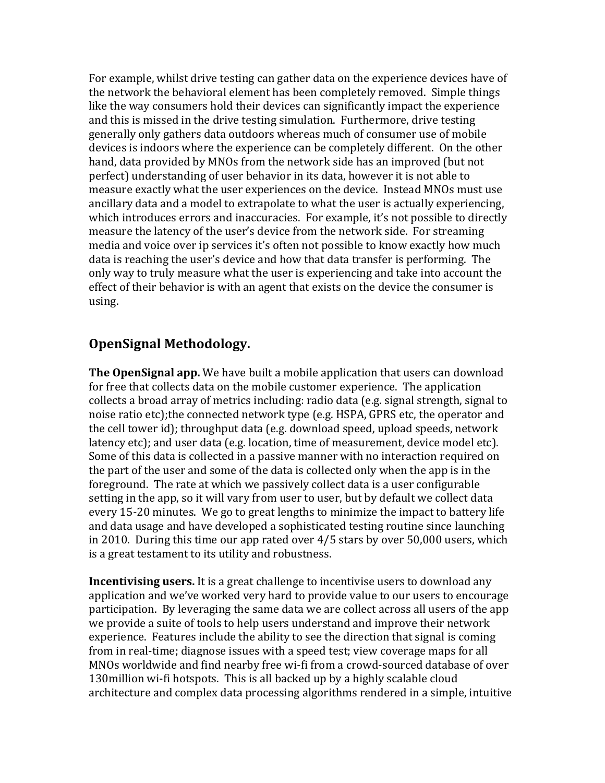For example, whilst drive testing can gather data on the experience devices have of the network the behavioral element has been completely removed. Simple things like the way consumers hold their devices can significantly impact the experience and this is missed in the drive testing simulation. Furthermore, drive testing generally only gathers data outdoors whereas much of consumer use of mobile devices is indoors where the experience can be completely different. On the other hand, data provided by MNOs from the network side has an improved (but not perfect) understanding of user behavior in its data, however it is not able to measure exactly what the user experiences on the device. Instead MNOs must use ancillary data and a model to extrapolate to what the user is actually experiencing, which introduces errors and inaccuracies. For example, it's not possible to directly measure the latency of the user's device from the network side. For streaming media and voice over ip services it's often not possible to know exactly how much data is reaching the user's device and how that data transfer is performing. The only way to truly measure what the user is experiencing and take into account the effect of their behavior is with an agent that exists on the device the consumer is using.

#### **OpenSignal Methodology.**

**The OpenSignal app.** We have built a mobile application that users can download for free that collects data on the mobile customer experience. The application collects a broad array of metrics including: radio data (e.g. signal strength, signal to noise ratio etc);the connected network type (e.g. HSPA, GPRS etc, the operator and the cell tower id); throughput data (e.g. download speed, upload speeds, network latency etc); and user data (e.g. location, time of measurement, device model etc). Some of this data is collected in a passive manner with no interaction required on the part of the user and some of the data is collected only when the app is in the foreground. The rate at which we passively collect data is a user configurable setting in the app, so it will vary from user to user, but by default we collect data every 15-20 minutes. We go to great lengths to minimize the impact to battery life and data usage and have developed a sophisticated testing routine since launching in 2010. During this time our app rated over  $4/5$  stars by over  $50,000$  users, which is a great testament to its utility and robustness.

**Incentivising users.** It is a great challenge to incentivise users to download any application and we've worked very hard to provide value to our users to encourage participation. By leveraging the same data we are collect across all users of the app we provide a suite of tools to help users understand and improve their network experience. Features include the ability to see the direction that signal is coming from in real-time; diagnose issues with a speed test; view coverage maps for all MNOs worldwide and find nearby free wi-fi from a crowd-sourced database of over 130 million wi-fi hotspots. This is all backed up by a highly scalable cloud architecture and complex data processing algorithms rendered in a simple, intuitive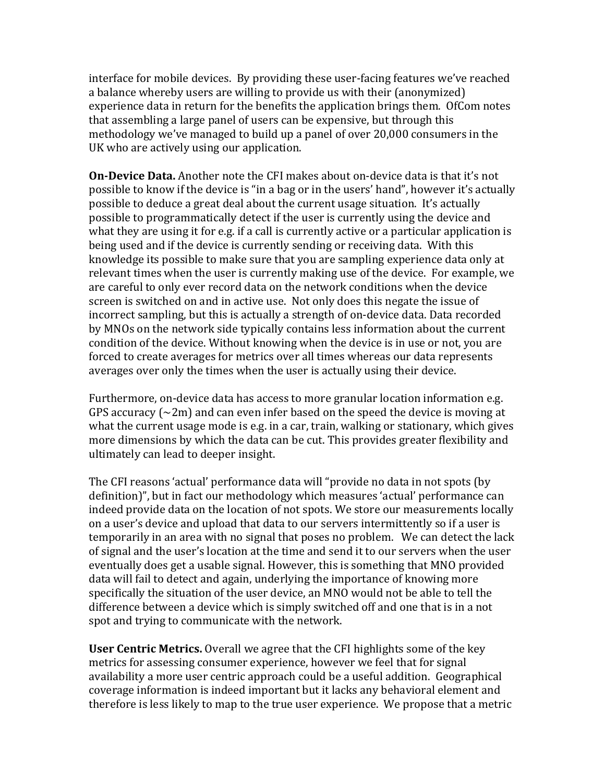interface for mobile devices. By providing these user-facing features we've reached a balance whereby users are willing to provide us with their (anonymized) experience data in return for the benefits the application brings them. OfCom notes that assembling a large panel of users can be expensive, but through this methodology we've managed to build up a panel of over 20,000 consumers in the UK who are actively using our application.

**On-Device Data.** Another note the CFI makes about on-device data is that it's not possible to know if the device is "in a bag or in the users' hand", however it's actually possible to deduce a great deal about the current usage situation. It's actually possible to programmatically detect if the user is currently using the device and what they are using it for e.g. if a call is currently active or a particular application is being used and if the device is currently sending or receiving data. With this knowledge its possible to make sure that you are sampling experience data only at relevant times when the user is currently making use of the device. For example, we are careful to only ever record data on the network conditions when the device screen is switched on and in active use. Not only does this negate the issue of incorrect sampling, but this is actually a strength of on-device data. Data recorded by MNOs on the network side typically contains less information about the current condition of the device. Without knowing when the device is in use or not, you are forced to create averages for metrics over all times whereas our data represents averages over only the times when the user is actually using their device.

Furthermore, on-device data has access to more granular location information e.g. GPS accuracy ( $\sim$ 2m) and can even infer based on the speed the device is moving at what the current usage mode is e.g. in a car, train, walking or stationary, which gives more dimensions by which the data can be cut. This provides greater flexibility and ultimately can lead to deeper insight.

The CFI reasons 'actual' performance data will "provide no data in not spots (by definition)", but in fact our methodology which measures 'actual' performance can indeed provide data on the location of not spots. We store our measurements locally on a user's device and upload that data to our servers intermittently so if a user is temporarily in an area with no signal that poses no problem. We can detect the lack of signal and the user's location at the time and send it to our servers when the user eventually does get a usable signal. However, this is something that MNO provided data will fail to detect and again, underlying the importance of knowing more specifically the situation of the user device, an MNO would not be able to tell the difference between a device which is simply switched off and one that is in a not spot and trying to communicate with the network.

**User Centric Metrics.** Overall we agree that the CFI highlights some of the key metrics for assessing consumer experience, however we feel that for signal availability a more user centric approach could be a useful addition. Geographical coverage information is indeed important but it lacks any behavioral element and therefore is less likely to map to the true user experience. We propose that a metric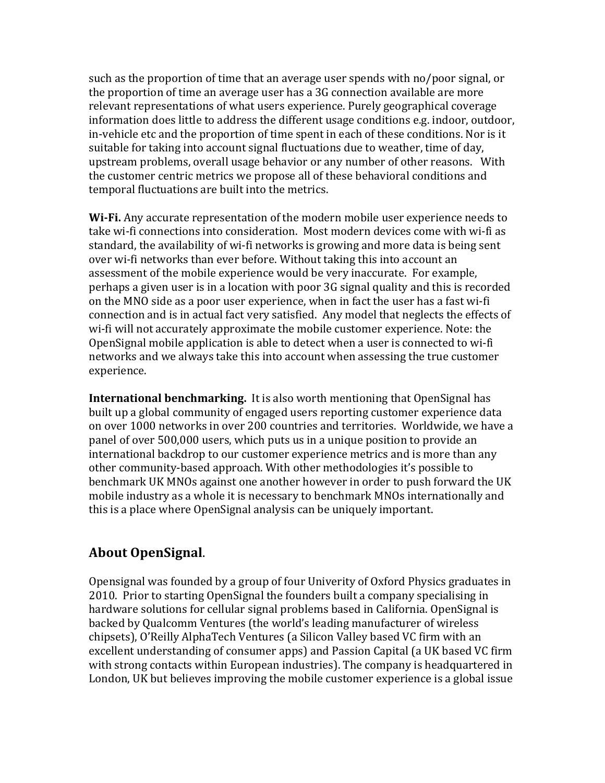such as the proportion of time that an average user spends with no/poor signal, or the proportion of time an average user has a 3G connection available are more relevant representations of what users experience. Purely geographical coverage information does little to address the different usage conditions e.g. indoor, outdoor, in-vehicle etc and the proportion of time spent in each of these conditions. Nor is it suitable for taking into account signal fluctuations due to weather, time of day, upstream problems, overall usage behavior or any number of other reasons. With the customer centric metrics we propose all of these behavioral conditions and temporal fluctuations are built into the metrics.

**Wi-Fi.** Any accurate representation of the modern mobile user experience needs to take wi-fi connections into consideration. Most modern devices come with wi-fi as standard, the availability of wi-fi networks is growing and more data is being sent over wi-fi networks than ever before. Without taking this into account an assessment of the mobile experience would be very inaccurate. For example, perhaps a given user is in a location with poor 3G signal quality and this is recorded on the MNO side as a poor user experience, when in fact the user has a fast wi-fi connection and is in actual fact very satisfied. Any model that neglects the effects of wi-fi will not accurately approximate the mobile customer experience. Note: the OpenSignal mobile application is able to detect when a user is connected to wi-fi networks and we always take this into account when assessing the true customer experience.

**International benchmarking.** It is also worth mentioning that OpenSignal has built up a global community of engaged users reporting customer experience data on over 1000 networks in over 200 countries and territories. Worldwide, we have a panel of over 500,000 users, which puts us in a unique position to provide an international backdrop to our customer experience metrics and is more than any other community-based approach. With other methodologies it's possible to benchmark UK MNOs against one another however in order to push forward the UK mobile industry as a whole it is necessary to benchmark MNOs internationally and this is a place where OpenSignal analysis can be uniquely important.

#### **About OpenSignal.**

Opensignal was founded by a group of four Univerity of Oxford Physics graduates in 2010. Prior to starting OpenSignal the founders built a company specialising in hardware solutions for cellular signal problems based in California. OpenSignal is backed by Qualcomm Ventures (the world's leading manufacturer of wireless chipsets), O'Reilly AlphaTech Ventures (a Silicon Valley based VC firm with an excellent understanding of consumer apps) and Passion Capital (a UK based VC firm with strong contacts within European industries). The company is headquartered in London, UK but believes improving the mobile customer experience is a global issue